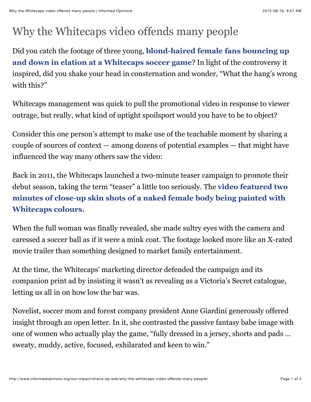## Why the Whitecaps video offends many people

Did you catch the footage of three young, **blond-haired female fans bouncing up [and down in elation at a Whitecaps soccer game](https://www.youtube.com/watch?v=zs8UNAjYP8s)**? In light of the controversy it inspired, did you shake your head in consternation and wonder, "What the hang's wrong with this?"

Whitecaps management was quick to pull the promotional video in response to viewer outrage, but really, what kind of uptight spoilsport would you have to be to object?

Consider this one person's attempt to make use of the teachable moment by sharing a couple of sources of context — among dozens of potential examples — that might have influenced the way many others saw the video:

Back in 2011, the Whitecaps launched a two-minute teaser campaign to promote their debut season, taking the term "teaser" a little too seriously. The **video featured two [minutes of close-up skin shots of a naked female body being painted with](https://www.youtube.com/watch?v=fEKhV5c0MAE) Whitecaps colours.**

When the full woman was finally revealed, she made sultry eyes with the camera and caressed a soccer ball as if it were a mink coat. The footage looked more like an X-rated movie trailer than something designed to market family entertainment.

At the time, the Whitecaps' marketing director defended the campaign and its companion print ad by insisting it wasn't as revealing as a Victoria's Secret catalogue, letting us all in on how low the bar was.

Novelist, soccer mom and forest company president Anne Giardini generously offered insight through an open letter. In it, she contrasted the passive fantasy babe image with one of women who actually play the game, "fully dressed in a jersey, shorts and pads … sweaty, muddy, active, focused, exhilarated and keen to win."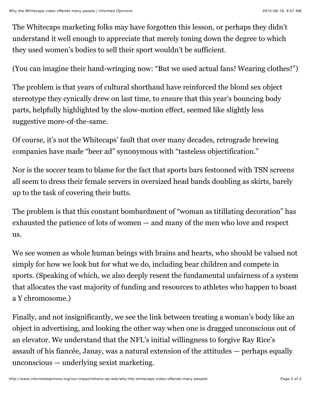The Whitecaps marketing folks may have forgotten this lesson, or perhaps they didn't understand it well enough to appreciate that merely toning down the degree to which they used women's bodies to sell their sport wouldn't be sufficient.

(You can imagine their hand-wringing now: "But we used actual fans! Wearing clothes!")

The problem is that years of cultural shorthand have reinforced the blond sex object stereotype they cynically drew on last time, to ensure that this year's bouncing body parts, helpfully highlighted by the slow-motion effect, seemed like slightly less suggestive more-of-the-same.

Of course, it's not the Whitecaps' fault that over many decades, retrograde brewing companies have made "beer ad" synonymous with "tasteless objectification."

Nor is the soccer team to blame for the fact that sports bars festooned with TSN screens all seem to dress their female servers in oversized head bands doubling as skirts, barely up to the task of covering their butts.

The problem is that this constant bombardment of "woman as titillating decoration" has exhausted the patience of lots of women — and many of the men who love and respect us.

We see women as whole human beings with brains and hearts, who should be valued not simply for how we look but for what we do, including bear children and compete in sports. (Speaking of which, we also deeply resent the fundamental unfairness of a system that allocates the vast majority of funding and resources to athletes who happen to boast a Y chromosome.)

Finally, and not insignificantly, we see the link between treating a woman's body like an object in advertising, and looking the other way when one is dragged unconscious out of an elevator. We understand that the NFL's initial willingness to forgive Ray Rice's assault of his fiancée, Janay, was a natural extension of the attitudes — perhaps equally unconscious — underlying sexist marketing.